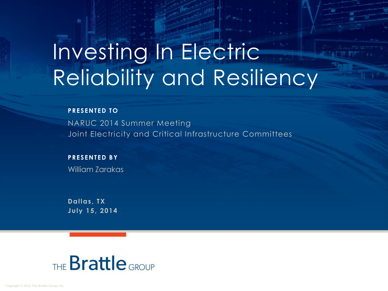# Investing In Electric Reliability and Resiliency

#### **PRESENTED TO**

NARUC 2014 Summer Meeting Joint Electricity and Critical Infrastructure Committees

#### **PRESENTED BY**

William Zarakas

**Dallas, TX July 15, 2014**

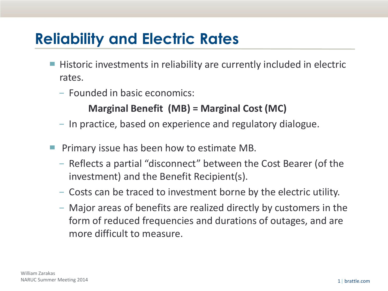### **Reliability and Electric Rates**

- Historic investments in reliability are currently included in electric rates.
	- − Founded in basic economics:

#### **Marginal Benefit (MB) = Marginal Cost (MC)**

- − In practice, based on experience and regulatory dialogue.
- Primary issue has been how to estimate MB.
	- − Reflects a partial "disconnect" between the Cost Bearer (of the investment) and the Benefit Recipient(s).
	- − Costs can be traced to investment borne by the electric utility.
	- − Major areas of benefits are realized directly by customers in the form of reduced frequencies and durations of outages, and are more difficult to measure.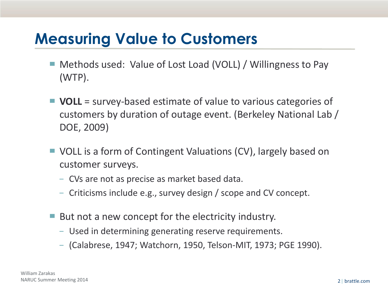#### **Measuring Value to Customers**

- Methods used: Value of Lost Load (VOLL) / Willingness to Pay (WTP).
- **VOLL** = survey-based estimate of value to various categories of customers by duration of outage event. (Berkeley National Lab / DOE, 2009)
- VOLL is a form of Contingent Valuations (CV), largely based on customer surveys.
	- − CVs are not as precise as market based data.
	- − Criticisms include e.g., survey design / scope and CV concept.
- But not a new concept for the electricity industry.
	- − Used in determining generating reserve requirements.
	- − (Calabrese, 1947; Watchorn, 1950, Telson-MIT, 1973; PGE 1990).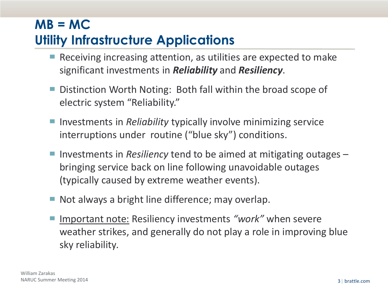#### **MB = MC Utility Infrastructure Applications**

- Receiving increasing attention, as utilities are expected to make significant investments in *Reliability* and *Resiliency*.
- Distinction Worth Noting: Both fall within the broad scope of electric system "Reliability."
- Investments in *Reliability* typically involve minimizing service interruptions under routine ("blue sky") conditions.
- Investments in *Resiliency* tend to be aimed at mitigating outages bringing service back on line following unavoidable outages (typically caused by extreme weather events).
- Not always a bright line difference; may overlap.
- Important note: Resiliency investments *"work"* when severe weather strikes, and generally do not play a role in improving blue sky reliability*.*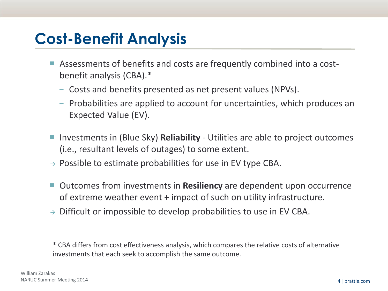#### **Cost-Benefit Analysis**

- Assessments of benefits and costs are frequently combined into a costbenefit analysis (CBA).\*
	- − Costs and benefits presented as net present values (NPVs).
	- − Probabilities are applied to account for uncertainties, which produces an Expected Value (EV).
- Investments in (Blue Sky) **Reliability** Utilities are able to project outcomes (i.e., resultant levels of outages) to some extent.
- $\rightarrow$  Possible to estimate probabilities for use in EV type CBA.
- ▀ Outcomes from investments in **Resiliency** are dependent upon occurrence of extreme weather event + impact of such on utility infrastructure.
- $\rightarrow$  Difficult or impossible to develop probabilities to use in EV CBA.

\* CBA differs from cost effectiveness analysis, which compares the relative costs of alternative investments that each seek to accomplish the same outcome.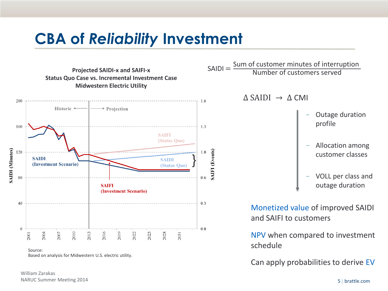#### **CBA of** *Reliability* **Investment**



Source: Based on analysis for Midwestern U.S. electric utility.

William Zarakas NARUC Summer Meeting 2014 5| brattle.com

 $SADI =$ Sum of customer minutes of interruption Number of customers served

 $\land$  SAIDI  $\rightarrow$   $\land$  CMI

- − Outage duration profile
- − Allocation among customer classes
- − VOLL per class and outage duration

Monetized value of improved SAIDI and SAIFI to customers

NPV when compared to investment schedule

Can apply probabilities to derive EV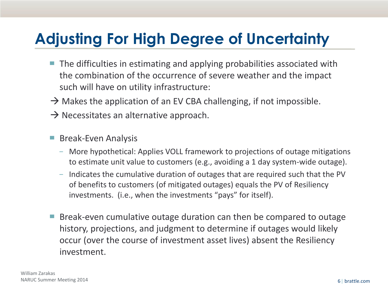# **Adjusting For High Degree of Uncertainty**

- The difficulties in estimating and applying probabilities associated with the combination of the occurrence of severe weather and the impact such will have on utility infrastructure:
- $\rightarrow$  Makes the application of an EV CBA challenging, if not impossible.
- $\rightarrow$  Necessitates an alternative approach.
- Break-Even Analysis
	- − More hypothetical: Applies VOLL framework to projections of outage mitigations to estimate unit value to customers (e.g., avoiding a 1 day system-wide outage).
	- − Indicates the cumulative duration of outages that are required such that the PV of benefits to customers (of mitigated outages) equals the PV of Resiliency investments. (i.e., when the investments "pays" for itself).
- Break-even cumulative outage duration can then be compared to outage history, projections, and judgment to determine if outages would likely occur (over the course of investment asset lives) absent the Resiliency investment.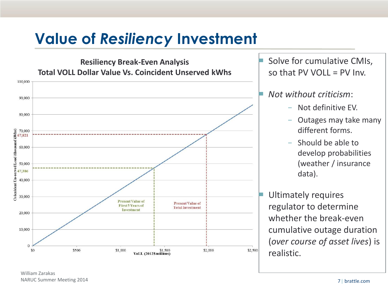# **Value of** *Resiliency* **Investment**



Solve for cumulative CMIs, so that PV VOLL  $=$  PV Inv.

#### ▀ *Not without criticism*:

- − Not definitive EV.
- − Outages may take many different forms.
- − Should be able to develop probabilities (weather / insurance data).

Ultimately requires regulator to determine whether the break-even cumulative outage duration (*over course of asset lives*) is realistic.

William Zarakas NARUC Summer Meeting 2014 7| brattle.com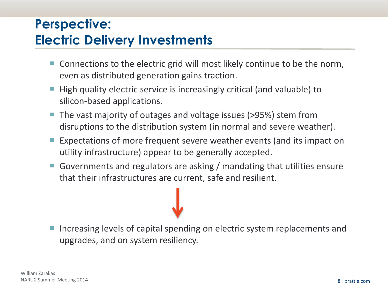#### **Perspective: Electric Delivery Investments**

- Connections to the electric grid will most likely continue to be the norm, even as distributed generation gains traction.
- High quality electric service is increasingly critical (and valuable) to silicon-based applications.
- The vast majority of outages and voltage issues (>95%) stem from disruptions to the distribution system (in normal and severe weather).
- Expectations of more frequent severe weather events (and its impact on utility infrastructure) appear to be generally accepted.
- Governments and regulators are asking / mandating that utilities ensure that their infrastructures are current, safe and resilient.

Increasing levels of capital spending on electric system replacements and upgrades, and on system resiliency.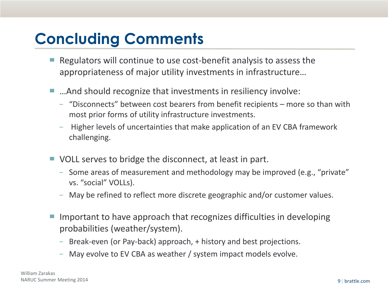# **Concluding Comments**

- Regulators will continue to use cost-benefit analysis to assess the appropriateness of major utility investments in infrastructure…
- ...And should recognize that investments in resiliency involve:
	- − "Disconnects" between cost bearers from benefit recipients more so than with most prior forms of utility infrastructure investments.
	- − Higher levels of uncertainties that make application of an EV CBA framework challenging.
- VOLL serves to bridge the disconnect, at least in part.
	- − Some areas of measurement and methodology may be improved (e.g., "private" vs. "social" VOLLs).
	- − May be refined to reflect more discrete geographic and/or customer values.
- Important to have approach that recognizes difficulties in developing probabilities (weather/system).
	- − Break-even (or Pay-back) approach, + history and best projections.
	- − May evolve to EV CBA as weather / system impact models evolve.